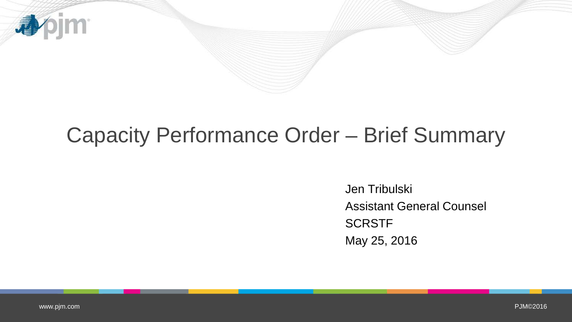

## Capacity Performance Order – Brief Summary

Jen Tribulski Assistant General Counsel **SCRSTF** May 25, 2016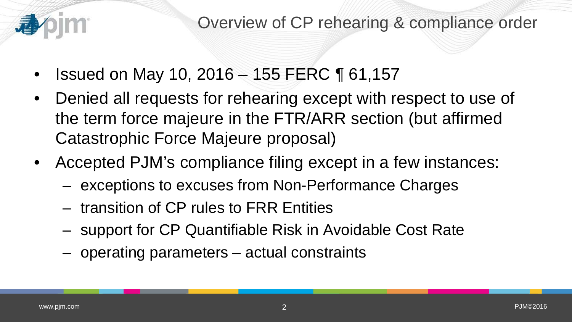

- Issued on May 10, 2016 155 FERC ¶ 61,157
- Denied all requests for rehearing except with respect to use of the term force majeure in the FTR/ARR section (but affirmed Catastrophic Force Majeure proposal)
- Accepted PJM's compliance filing except in a few instances:
	- exceptions to excuses from Non-Performance Charges
	- transition of CP rules to FRR Entities
	- support for CP Quantifiable Risk in Avoidable Cost Rate
	- operating parameters actual constraints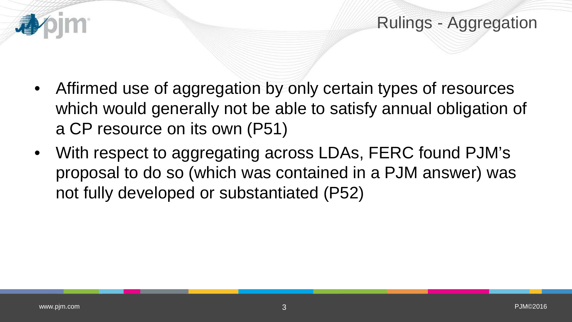

- Affirmed use of aggregation by only certain types of resources which would generally not be able to satisfy annual obligation of a CP resource on its own (P51)
- With respect to aggregating across LDAs, FERC found PJM's proposal to do so (which was contained in a PJM answer) was not fully developed or substantiated (P52)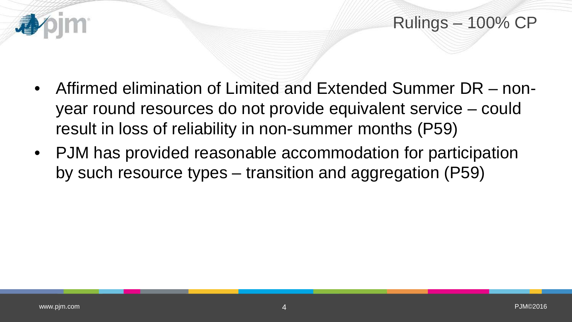

- Affirmed elimination of Limited and Extended Summer DR nonyear round resources do not provide equivalent service – could result in loss of reliability in non-summer months (P59)
- PJM has provided reasonable accommodation for participation by such resource types – transition and aggregation (P59)